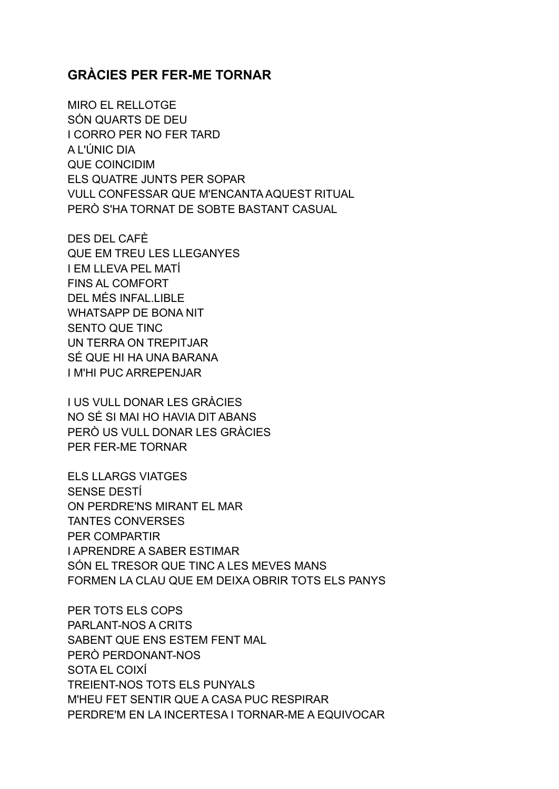## **GRÀCIES PER FER-ME TORNAR**

MIRO EL RELLOTGE SÓN QUARTS DE DEU I CORRO PER NO FER TARD A L'ÚNIC DIA QUE COINCIDIM ELS QUATRE JUNTS PER SOPAR VULL CONFESSAR QUE M'ENCANTA AQUEST RITUAL PERÒ S'HA TORNAT DE SOBTE BASTANT CASUAL

DES DEL CAFÈ QUE EM TREU LES LLEGANYES I EM LLEVA PEL MATÍ FINS AL COMFORT DEL MÉS INFAL.LIBLE WHATSAPP DE BONA NIT SENTO QUE TINC UN TERRA ON TREPITJAR SÉ QUE HI HA UNA BARANA I M'HI PUC ARREPENJAR

I US VULL DONAR LES GRÀCIES NO SÉ SI MAI HO HAVIA DIT ABANS PERÒ US VULL DONAR LES GRÀCIES PER FER-ME TORNAR

ELS LLARGS VIATGES SENSE DESTÍ ON PERDRE'NS MIRANT EL MAR TANTES CONVERSES PER COMPARTIR I APRENDRE A SABER ESTIMAR SÓN EL TRESOR QUE TINC A LES MEVES MANS FORMEN LA CLAU QUE EM DEIXA OBRIR TOTS ELS PANYS

PER TOTS ELS COPS PARLANT-NOS A CRITS SABENT QUE ENS ESTEM FENT MAL PERÒ PERDONANT-NOS SOTA EL COIXÍ TREIENT-NOS TOTS ELS PUNYALS M'HEU FET SENTIR QUE A CASA PUC RESPIRAR PERDRE'M EN LA INCERTESA I TORNAR-ME A EQUIVOCAR